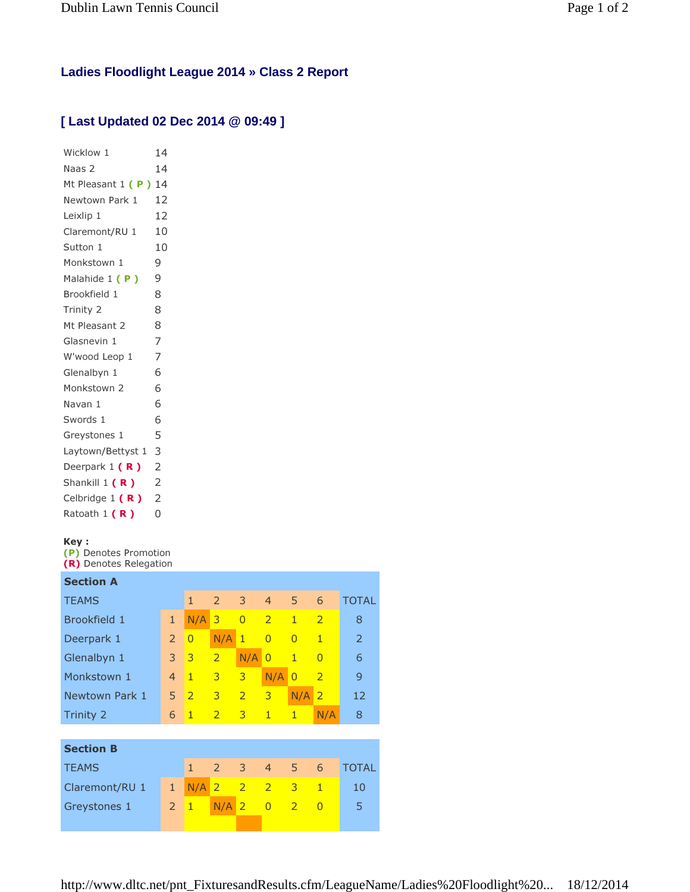## **Ladies Floodlight League 2014 » Class 2 Report**

## **[ Last Updated 02 Dec 2014 @ 09:49 ]**

| Wicklow 1            | 14             |  |  |  |  |
|----------------------|----------------|--|--|--|--|
| Naas 2               | 14             |  |  |  |  |
| Mt Pleasant 1 (P) 14 |                |  |  |  |  |
| Newtown Park 1       |                |  |  |  |  |
| Leixlip 1            | 12             |  |  |  |  |
| Claremont/RU 1       | 10             |  |  |  |  |
| Sutton 1             |                |  |  |  |  |
| Monkstown 1          |                |  |  |  |  |
| Malahide 1 (P)       |                |  |  |  |  |
| Brookfield 1         | 8              |  |  |  |  |
| Trinity 2            | 8              |  |  |  |  |
| Mt Pleasant 2        | 8              |  |  |  |  |
| Glasnevin 1          | 7              |  |  |  |  |
| W'wood Leop 1        | 7              |  |  |  |  |
| Glenalbyn 1          | 6              |  |  |  |  |
| Monkstown 2          | 6              |  |  |  |  |
| Navan 1              | 6              |  |  |  |  |
| Swords 1             | 6              |  |  |  |  |
| Greystones 1         | 5              |  |  |  |  |
| Laytown/Bettyst 1    | 3              |  |  |  |  |
| Deerpark $1(R)$      | 2              |  |  |  |  |
| Shankill 1 (R)       | $\overline{2}$ |  |  |  |  |
| Celbridge $1(R)$     | $\overline{2}$ |  |  |  |  |
| Ratoath 1 (R)        | 0              |  |  |  |  |
|                      |                |  |  |  |  |

## Key :

(P) Denotes Promotion (R) Denotes Relegation

| <b>Section A</b> |                |                |                |                |                |                |                |              |
|------------------|----------------|----------------|----------------|----------------|----------------|----------------|----------------|--------------|
| <b>TEAMS</b>     |                | $\mathbf{1}$   | $\overline{2}$ | 3              | $\overline{4}$ | 5              | 6              | <b>TOTAL</b> |
| Brookfield 1     | $\mathbf{1}$   | N/A            | 3              | $\overline{0}$ | $\overline{2}$ | $\mathbf{1}$   | $\overline{2}$ | 8            |
| Deerpark 1       | $\overline{2}$ | $\overline{0}$ | N/A            | $\mathbf{1}$   | $\overline{0}$ | $\overline{0}$ | $\mathbf{1}$   | 2            |
| Glenalbyn 1      | 3              | 3              | $\overline{2}$ | N/A            | $\overline{0}$ | $\mathbf{1}$   | $\Omega$       | 6            |
| Monkstown 1      | $\overline{4}$ | $\mathbf{1}$   | 3              | 3              | N/A            | $\overline{0}$ | $\overline{2}$ | 9            |
| Newtown Park 1   | 5              | $\overline{2}$ | 3              | $\overline{2}$ | 3              | N/A            | $\overline{2}$ | 12           |
| Trinity 2        | 6              | $\mathbf{1}$   | $\overline{2}$ | $\overline{3}$ | $\mathbf{1}$   | $\mathbf{1}$   | N/A            | 8            |
|                  |                |                |                |                |                |                |                |              |
| <b>Section B</b> |                |                |                |                |                |                |                |              |
| <b>TEAMS</b>     |                | $\mathbf{1}$   | 2              | 3              | $\overline{4}$ | 5              | 6              | <b>TOTAL</b> |
| Claremont/RU 1   | $\mathbf{1}$   | N/A            | $\overline{2}$ | $\overline{2}$ | $\overline{2}$ | 3              | $\overline{1}$ | 10           |
| Greystones 1     | $\overline{2}$ | $\mathbf{1}$   | N/A            | $\overline{2}$ | $\overline{0}$ | $\overline{2}$ | $\Omega$       | 5            |
|                  |                |                |                |                |                |                |                |              |